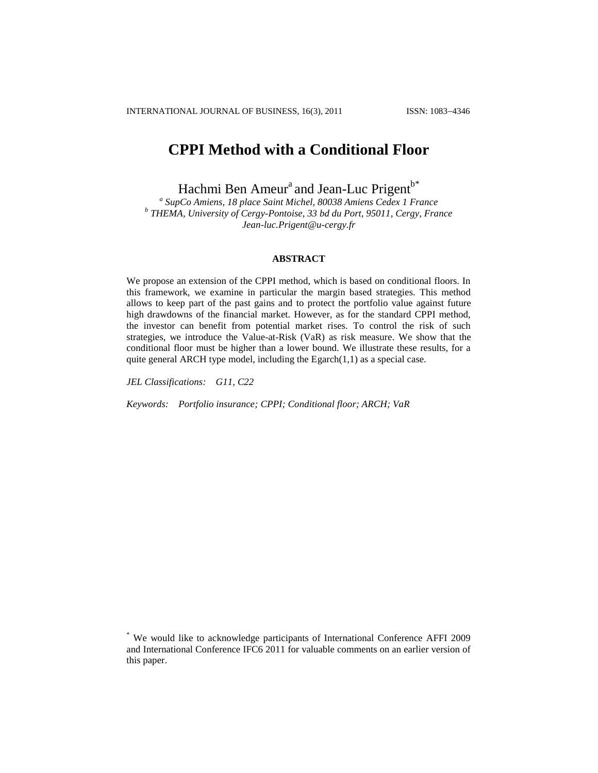# **CPPI Method with a Conditional Floor**

Hachmi Ben Ameur<sup>a</sup> and Jean-Luc Prigent<sup>b\*</sup>

*a SupCo Amiens, 18 place Saint Michel, 80038 Amiens Cedex 1 France b THEMA, University of Cergy-Pontoise, 33 bd du Port, 95011, Cergy, France Jean-luc.Prigent@u-cergy.fr*

## **ABSTRACT**

We propose an extension of the CPPI method, which is based on conditional floors. In this framework, we examine in particular the margin based strategies. This method allows to keep part of the past gains and to protect the portfolio value against future high drawdowns of the financial market. However, as for the standard CPPI method, the investor can benefit from potential market rises. To control the risk of such strategies, we introduce the Value-at-Risk (VaR) as risk measure. We show that the conditional floor must be higher than a lower bound. We illustrate these results, for a quite general ARCH type model, including the  $Egarch(1,1)$  as a special case.

*JEL Classifications: G11, C22*

*Keywords: Portfolio insurance; CPPI; Conditional floor; ARCH; VaR*

<sup>\*</sup> We would like to acknowledge participants of International Conference AFFI 2009 and International Conference IFC6 2011 for valuable comments on an earlier version of this paper.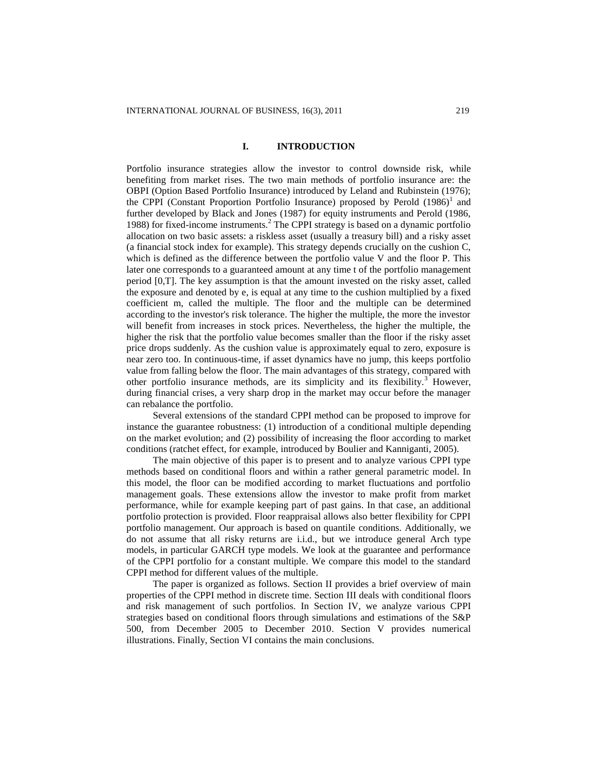## **I. INTRODUCTION**

Portfolio insurance strategies allow the investor to control downside risk, while benefiting from market rises. The two main methods of portfolio insurance are: the OBPI (Option Based Portfolio Insurance) introduced by Leland and Rubinstein (1976); the CPPI (Constant Proportion Portfolio Insurance) proposed by Perold (1986)<sup>1</sup> and further developed by Black and Jones (1987) for equity instruments and Perold (1986, 1988) for fixed-income instruments. $<sup>2</sup>$  The CPPI strategy is based on a dynamic portfolio</sup> allocation on two basic assets: a riskless asset (usually a treasury bill) and a risky asset (a financial stock index for example). This strategy depends crucially on the cushion C, which is defined as the difference between the portfolio value V and the floor P. This later one corresponds to a guaranteed amount at any time t of the portfolio management period [0,T]. The key assumption is that the amount invested on the risky asset, called the exposure and denoted by e, is equal at any time to the cushion multiplied by a fixed coefficient m, called the multiple. The floor and the multiple can be determined according to the investor's risk tolerance. The higher the multiple, the more the investor will benefit from increases in stock prices. Nevertheless, the higher the multiple, the higher the risk that the portfolio value becomes smaller than the floor if the risky asset price drops suddenly. As the cushion value is approximately equal to zero, exposure is near zero too. In continuous-time, if asset dynamics have no jump, this keeps portfolio value from falling below the floor. The main advantages of this strategy, compared with other portfolio insurance methods, are its simplicity and its flexibility.<sup>3</sup> However, during financial crises, a very sharp drop in the market may occur before the manager can rebalance the portfolio.

Several extensions of the standard CPPI method can be proposed to improve for instance the guarantee robustness: (1) introduction of a conditional multiple depending on the market evolution; and (2) possibility of increasing the floor according to market conditions (ratchet effect, for example, introduced by Boulier and Kanniganti, 2005).

The main objective of this paper is to present and to analyze various CPPI type methods based on conditional floors and within a rather general parametric model. In this model, the floor can be modified according to market fluctuations and portfolio management goals. These extensions allow the investor to make profit from market performance, while for example keeping part of past gains. In that case, an additional portfolio protection is provided. Floor reappraisal allows also better flexibility for CPPI portfolio management. Our approach is based on quantile conditions. Additionally, we do not assume that all risky returns are i.i.d., but we introduce general Arch type models, in particular GARCH type models. We look at the guarantee and performance of the CPPI portfolio for a constant multiple. We compare this model to the standard CPPI method for different values of the multiple.

The paper is organized as follows. Section II provides a brief overview of main properties of the CPPI method in discrete time. Section III deals with conditional floors and risk management of such portfolios. In Section IV, we analyze various CPPI strategies based on conditional floors through simulations and estimations of the S&P 500, from December 2005 to December 2010. Section V provides numerical illustrations. Finally, Section VI contains the main conclusions.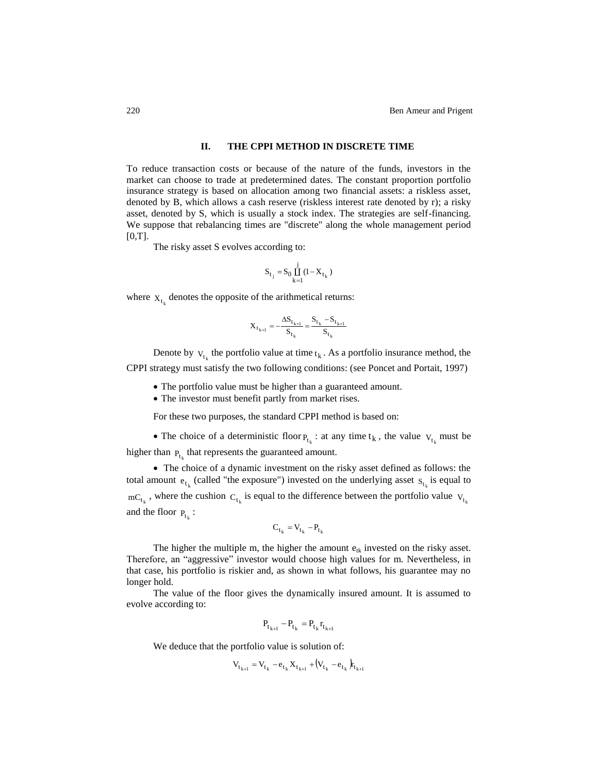## **II. THE CPPI METHOD IN DISCRETE TIME**

To reduce transaction costs or because of the nature of the funds, investors in the market can choose to trade at predetermined dates. The constant proportion portfolio insurance strategy is based on allocation among two financial assets: a riskless asset, denoted by B, which allows a cash reserve (riskless interest rate denoted by r); a risky asset, denoted by S, which is usually a stock index. The strategies are self-financing. We suppose that rebalancing times are "discrete" along the whole management period [0,T].

The risky asset S evolves according to:

$$
S_{t_j} = S_0 \prod_{k=1}^{j} (1 - X_{t_k})
$$

where  $X_{t_k}$  denotes the opposite of the arithmetical returns:

$$
\mathbf{X}_{t_{k+1}} = -\frac{\Delta S_{t_{k+1}}}{S_{t_k}} = \frac{S_{t_k} - S_{t_{k+1}}}{S_{t_k}}
$$

Denote by  $v_{t_k}$  the portfolio value at time  $t_k$ . As a portfolio insurance method, the CPPI strategy must satisfy the two following conditions: (see Poncet and Portait, 1997)

- The portfolio value must be higher than a guaranteed amount.
- The investor must benefit partly from market rises.

For these two purposes, the standard CPPI method is based on:

• The choice of a deterministic floor  $P_{t_k}$ : at any time  $t_k$ , the value  $V_{t_k}$  must be higher than  $P_{t_k}$  that represents the guaranteed amount.

 The choice of a dynamic investment on the risky asset defined as follows: the total amount  $e_{t_k}$  (called "the exposure") invested on the underlying asset  $s_{t_k}$  is equal to  $mC_{t_k}$ , where the cushion  $C_{t_k}$  is equal to the difference between the portfolio value  $V_{t_k}$ and the floor  $P_{t_k}$ :

$$
C_{t_k} = V_{t_k} - P_{t_k}
$$

The higher the multiple m, the higher the amount  $e_{tk}$  invested on the risky asset. Therefore, an "aggressive" investor would choose high values for m. Nevertheless, in that case, his portfolio is riskier and, as shown in what follows, his guarantee may no longer hold.

The value of the floor gives the dynamically insured amount. It is assumed to evolve according to:

$$
\boldsymbol{P}_{t_{k+1}} - \boldsymbol{P}_{t_k} = \boldsymbol{P}_{t_k} \boldsymbol{r}_{t_{k+1}}
$$

We deduce that the portfolio value is solution of:

$$
V_{t_{k+1}} = V_{t_k} - e_{t_k} X_{t_{k+1}} + (V_{t_k} - e_{t_k})_{t_{k+1}}
$$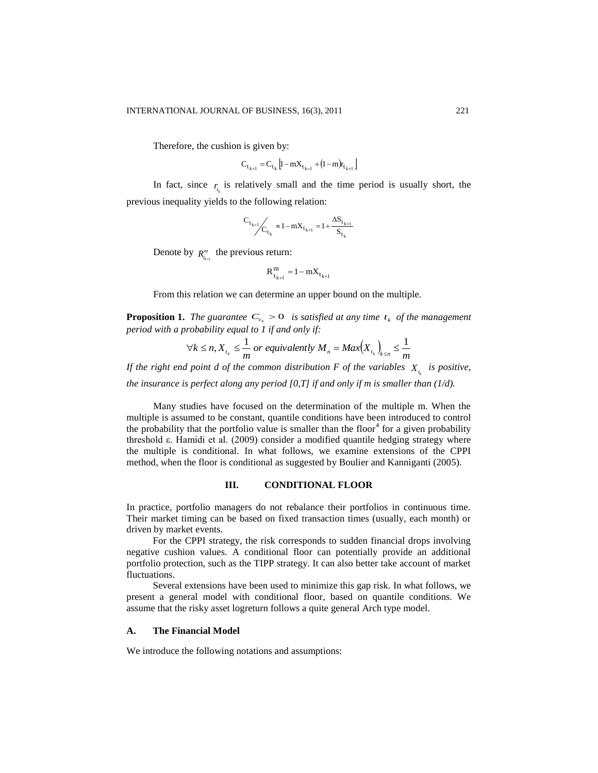Therefore, the cushion is given by:

$$
C_{t_{k+1}} = C_{t_k} \left[ 1 - mX_{t_{k+1}} + (1 - m)r_{t_{k+1}} \right]
$$

In fact, since  $r_{t_k}$  is relatively small and the time period is usually short, the previous inequality yields to the following relation:

$$
C_{t_{k+1}}/C_{t_k} \approx 1 - mX_{t_{k+1}} = 1 + \frac{\Delta S_{t_{k+1}}}{S_{t_k}}
$$

Denote by  $R_{t_{k+1}}^m$  the previous return:

$$
R_{t_{k+1}}^m = 1 - mX_{t_{k+1}}
$$

From this relation we can determine an upper bound on the multiple.

**Proposition 1.** The guarantee  $C_{t_k} > 0$  is satisfied at any time  $t_k$  of the management *period with a probability equal to 1 if and only if:*

$$
\forall k \le n, X_{t_k} \le \frac{1}{m} \text{ or equivalently } M_n = \text{Max} \Big( X_{t_k} \Big)_{k \le n} \le \frac{1}{m}
$$

If the right end point  $d$  of the common distribution  $F$  of the variables  $X_{t_k}$  is positive,

*the insurance is perfect along any period [0,T] if and only if m is smaller than (1/d).*

Many studies have focused on the determination of the multiple m. When the multiple is assumed to be constant, quantile conditions have been introduced to control the probability that the portfolio value is smaller than the floor<sup>4</sup> for a given probability threshold ε. Hamidi et al. (2009) consider a modified quantile hedging strategy where the multiple is conditional. In what follows, we examine extensions of the CPPI method, when the floor is conditional as suggested by Boulier and Kanniganti (2005).

#### **III. CONDITIONAL FLOOR**

In practice, portfolio managers do not rebalance their portfolios in continuous time. Their market timing can be based on fixed transaction times (usually, each month) or driven by market events.

For the CPPI strategy, the risk corresponds to sudden financial drops involving negative cushion values. A conditional floor can potentially provide an additional portfolio protection, such as the TIPP strategy. It can also better take account of market fluctuations.

Several extensions have been used to minimize this gap risk. In what follows, we present a general model with conditional floor, based on quantile conditions. We assume that the risky asset logreturn follows a quite general Arch type model.

#### **A. The Financial Model**

We introduce the following notations and assumptions: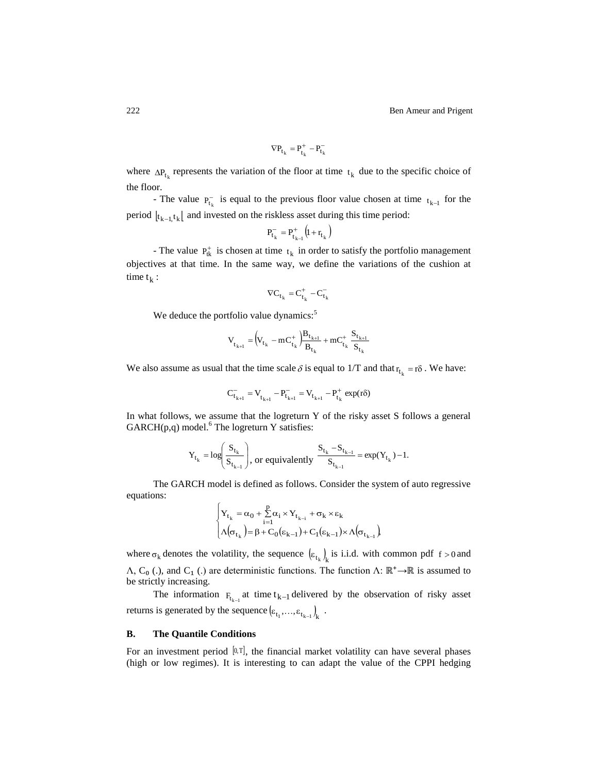$$
\nabla P_{t_k} = P_{t_k}^+ - P_{t_k}^-
$$

where  $\Delta P_{t_k}$  represents the variation of the floor at time  $t_k$  due to the specific choice of the floor.

- The value  $P_{t_k}^-$  is equal to the previous floor value chosen at time  $t_{k-1}$  for the period  $\left[ t_{k-1, t_{k}} \right]$  and invested on the riskless asset during this time period:

$$
P_{t_k}^- = P_{t_{k-1}}^+ (1 + r_{t_k})
$$

- The value  $P_{tk}^{+}$  is chosen at time  $t_k$  in order to satisfy the portfolio management objectives at that time. In the same way, we define the variations of the cushion at time  $t_k$  :

$$
\nabla C_{t_k} = C_{t_k}^+ - C_{t_k}^-
$$

We deduce the portfolio value dynamics:<sup>5</sup>

$$
\mathbf{V}_{t_{k+l}} = \left(\mathbf{V}_{t_k} - \mathbf{m} \mathbf{C}_{t_k}^+ \right) \frac{\mathbf{B}_{t_{k+l}}}{\mathbf{B}_{t_k}} + \mathbf{m} \mathbf{C}_{t_k}^+ \frac{\mathbf{S}_{t_{k+l}}}{\mathbf{S}_{t_k}}
$$

We also assume as usual that the time scale  $\delta$  is equal to 1/T and that  $r_{t_k} = r\delta$ . We have:

$$
C_{t_{k+1}}^- = V_{t_{k+1}}^- - P_{t_{k+1}}^- = V_{t_{k+1}}^- - P_{t_k}^+ \exp(r\delta)
$$

In what follows, we assume that the logreturn Y of the risky asset S follows a general GARCH(p,q) model.<sup>6</sup> The logreturn Y satisfies:

$$
Y_{t_k} = \log \left(\frac{S_{t_k}}{S_{t_{k-1}}}\right)
$$
, or equivalently 
$$
\frac{S_{t_k} - S_{t_{k-1}}}{S_{t_{k-1}}} = \exp(Y_{t_k}) - 1.
$$

The GARCH model is defined as follows. Consider the system of auto regressive equations:

$$
\begin{cases} \displaystyle Y_{t_k}=\alpha_0+\sum\limits_{i=1}^p\alpha_i\times Y_{t_{k-i}}+\sigma_k\times\epsilon_k \\ \Lambda\big(\sigma_{t_k}\big)=\beta+C_0\big(\epsilon_{k-1}\big)+C_1\big(\epsilon_{k-1}\big)\times\Lambda\big(\sigma_{t_{k-1}}\big) \end{cases}
$$

where  $\sigma_k$  denotes the volatility, the sequence  $(\varepsilon_{t_k})_k$  is i.i.d. with common pdf  $f > 0$  and  $\Lambda$ , C<sub>0</sub> (.), and C<sub>1</sub> (.) are deterministic functions. The function  $\Lambda$ :  $\mathbb{R}^+ \rightarrow \mathbb{R}$  is assumed to be strictly increasing.

The information  $F_{t_{k-1}}$  at time  $t_{k-1}$  delivered by the observation of risky asset returns is generated by the sequence  $(\epsilon_{t_1},...,\epsilon_{t_{k-1}})_k$ .

#### **B. The Quantile Conditions**

For an investment period  $[0, T]$ , the financial market volatility can have several phases (high or low regimes). It is interesting to can adapt the value of the CPPI hedging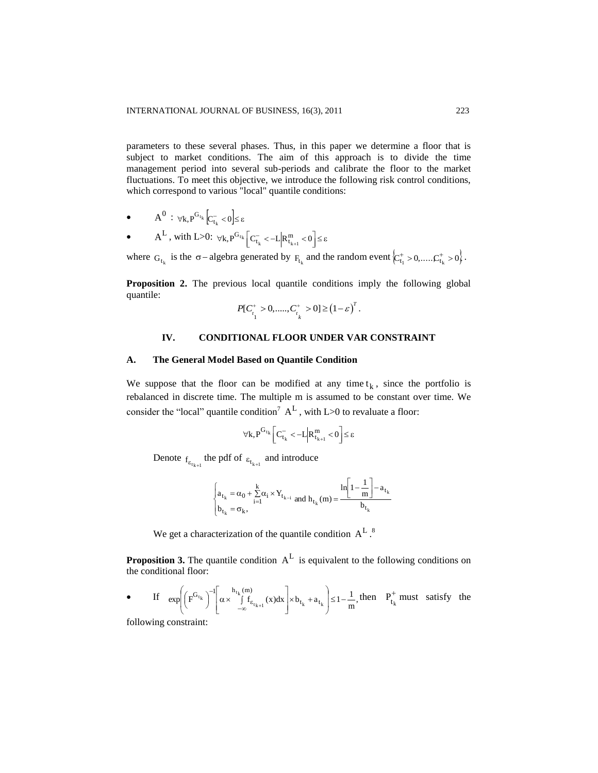parameters to these several phases. Thus, in this paper we determine a floor that is subject to market conditions. The aim of this approach is to divide the time management period into several sub-periods and calibrate the floor to the market fluctuations. To meet this objective, we introduce the following risk control conditions, which correspond to various "local" quantile conditions:

- $A^0 : \forall k, P^{G_{t_k}}[C_{t_k}^- < 0] \le \varepsilon$
- $\bullet$  $A^{L}$ , with L>0:  $\forall k, P^{G_{t_k}} \Big[ C_{t_k}^{-} < -L \Big| R_{t_{k+1}}^{m} < 0 \Big] \leq \varepsilon$  $\binom{t_k}{t_k} < -L \bigg| R^m_{t_{k+1}}$

where  $G_{t_k}$  is the  $\sigma$ -algebra generated by  $F_{t_k}$  and the random event  $\left\{C_{t_1}^+ > 0, \ldots, C_{t_k}^+ > 0\right\}$ .

Proposition 2. The previous local quantile conditions imply the following global quantile:

$$
P[C_{\substack{i=1\\i}}^+ > 0, \dots, C_{\substack{i=1\\i}}^+ > 0] \ge (1 - \varepsilon)^T.
$$

# **IV. CONDITIONAL FLOOR UNDER VAR CONSTRAINT**

## **A. The General Model Based on Quantile Condition**

We suppose that the floor can be modified at any time  $t_k$ , since the portfolio is rebalanced in discrete time. The multiple m is assumed to be constant over time. We consider the "local" quantile condition<sup>7</sup>  $A<sup>L</sup>$ , with L>0 to revaluate a floor:

$$
\forall k, P^{G_{t_k}}\bigg[C^-_{t_k}<-L\Big|R^m_{t_{k+1}}<0\Bigg]\!\leq\!\epsilon
$$

Denote  $f_{\epsilon_{t_{k+1}}}$  the pdf of  $\epsilon_{t_{k+1}}$  and introduce

$$
\begin{cases} a_{t_k}=\alpha_0+\sum\limits_{i=1}^{k}\alpha_i\times Y_{t_{k-i}} \text{ and } h_{t_k}(m)=\dfrac{\ln\Bigl[1-\dfrac{1}{m}\Bigr]-a_{t_k}}{b_{t_k}} \\ \end{cases}
$$

We get a characterization of the quantile condition  $A^L$ .<sup>8</sup>

**Proposition 3.** The quantile condition  $A<sup>L</sup>$  is equivalent to the following conditions on the conditional floor:

• If 
$$
\exp\left(\left(F^{G_{t_k}}\right)^{-1}\left[\alpha \times \int_{-\infty}^{h_{t_k}(m)} f_{\epsilon_{t_{k+1}}}(x)dx\right] \times b_{t_k} + a_{t_k}\right) \leq 1 - \frac{1}{m}
$$
, then  $P_{t_k}^+$  must satisfy the

following constraint: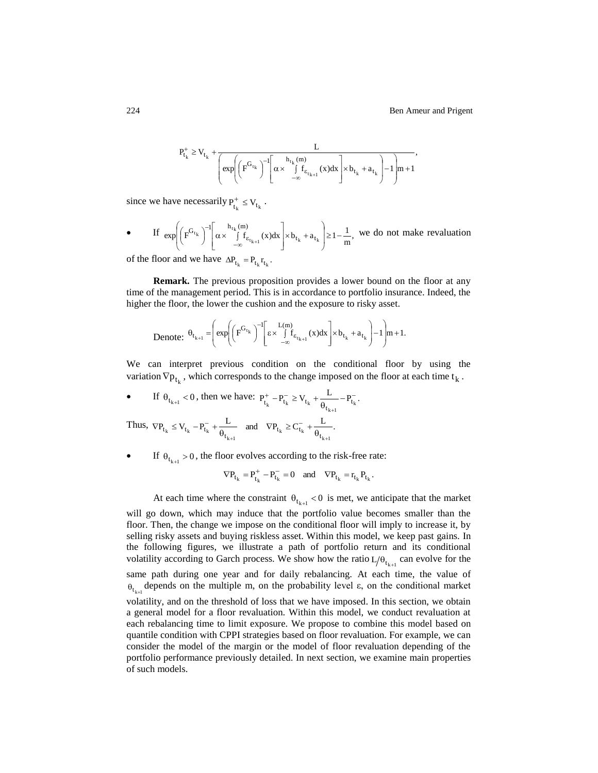$$
P_{t_k}^+ \geq V_{t_k} + \underbrace{\frac{L}{\left(\exp\!\left(\overline{F}^{G_{t_k}}\right)^{-l}\!\!\left[\alpha \times \int\limits_{-\infty}^{h_{t_k}(m)}\!\!f_{\epsilon_{t_{k+l}}}\left(x\right)\!dx\right]\!\!\times\! b_{t_k}+a_{t_k}\right] - 1}\!\right)}_{\textstyle{\cdots, n+1}},
$$

since we have necessarily  $P_{t_k}^+ \le V_{t_k}$ .

• If 
$$
\exp\left(\left(F^{G_{t_k}}\right)^{-1}\left[\alpha \times \int_{-\infty}^{h_{t_k}(m)} f_{\epsilon_{t_{k+1}}}(x)dx\right] \times b_{t_k} + a_{t_k}\right) \ge 1 - \frac{1}{m}
$$
, we do not make revaluation

of the floor and we have  $\Delta P_{t_k} = P_{t_k} r_{t_k}$ .

**Remark.** The previous proposition provides a lower bound on the floor at any time of the management period. This is in accordance to portfolio insurance. Indeed, the higher the floor, the lower the cushion and the exposure to risky asset.

Denote: 
$$
\theta_{t_{k+1}} = \left(\exp\left(\left(F^{G_{t_k}}\right)^{-1}\left[\epsilon \times \int_{-\infty}^{L(m)} f_{\epsilon_{t_{k+1}}}(x)dx\right] \times b_{t_k} + a_{t_k}\right) - 1\right) m + 1.
$$

We can interpret previous condition on the conditional floor by using the variation  $\nabla p_{t_k}$ , which corresponds to the change imposed on the floor at each time  $t_k$ .

• If 
$$
\theta_{t_{k+1}} < 0
$$
, then we have:  $P_{t_k}^+ - P_{t_k}^- \ge V_{t_k} + \frac{L}{\theta_{t_{k+1}}} - P_{t_k}^-$ .  
Thus,  $\nabla P_{t_k} \le V_{t_k} - P_{t_k}^- + \frac{L}{\theta_{t_{k+1}}}$  and  $\nabla P_{t_k} \ge C_{t_k}^- + \frac{L}{\theta_{t_{k+1}}}$ .

If  $\theta_{t_{k+1}} > 0$ , the floor evolves according to the risk-free rate:

$$
\nabla P_{t_k} = P_{t_k}^+ - P_{t_k}^- = 0 \quad \text{and} \quad \nabla P_{t_k} = r_{t_k} P_{t_k}.
$$

At each time where the constraint  $\theta_{t_{k+1}} < 0$  is met, we anticipate that the market will go down, which may induce that the portfolio value becomes smaller than the floor. Then, the change we impose on the conditional floor will imply to increase it, by selling risky assets and buying riskless asset. Within this model, we keep past gains. In the following figures, we illustrate a path of portfolio return and its conditional volatility according to Garch process. We show how the ratio  $L/\theta_{t_{k+1}}$  can evolve for the same path during one year and for daily rebalancing. At each time, the value of  $\theta_{t_{k+l}}$  depends on the multiple m, on the probability level  $\varepsilon$ , on the conditional market volatility, and on the threshold of loss that we have imposed. In this section, we obtain a general model for a floor revaluation. Within this model, we conduct revaluation at each rebalancing time to limit exposure. We propose to combine this model based on quantile condition with CPPI strategies based on floor revaluation. For example, we can consider the model of the margin or the model of floor revaluation depending of the portfolio performance previously detailed. In next section, we examine main properties of such models.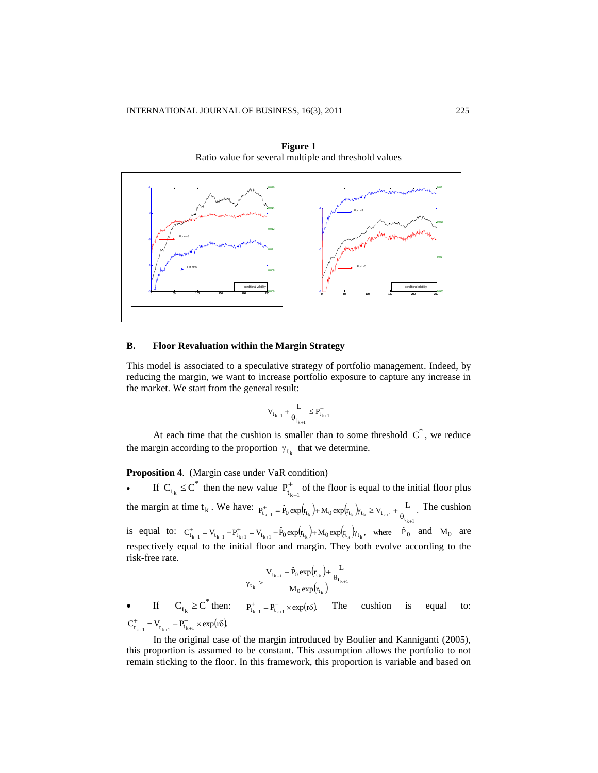

**Figure 1** Ratio value for several multiple and threshold values

#### **B. Floor Revaluation within the Margin Strategy**

This model is associated to a speculative strategy of portfolio management. Indeed, by reducing the margin, we want to increase portfolio exposure to capture any increase in the market. We start from the general result:

$$
V_{t_{k+1}}+\frac{L}{\theta_{t_{k+1}}}\leq P^+_{t_{k+1}}
$$

At each time that the cushion is smaller than to some threshold  $C^*$ , we reduce the margin according to the proportion  $\gamma_{t_k}$  that we determine.

## **Proposition 4**. (Margin case under VaR condition)

• If  $C_{t_k} \leq C^*$  then the new value  $P_{t_k}^+$  $P_{t_{k+1}}^{+}$  of the floor is equal to the initial floor plus the margin at time  $t_k$ . We have:  $P_{t_{k+1}}^+ = \hat{P}_0 \exp(r_{t_k}) + M_0 \exp(r_{t_k}) / t_k \ge V_{t_{k+1}} + \frac{L}{\theta_{t_{k+1}}}$ . The cushion is equal to:  $C_{t_{k+1}}^+ = V_{t_{k+1}} - P_{t_{k+1}}^+ = V_{t_{k+1}} - \hat{P}_0 \exp(r_{t_k}) + M_0 \exp(r_{t_k})/r_{t_k}$ , where  $\hat{P}_0$  and  $M_0$  are respectively equal to the initial floor and margin. They both evolve according to the risk-free rate.

$$
\gamma_{t_k} \geq \frac{V_{t_{k+1}} - \hat{P}_0 \exp\!\left(\!r_{t_k}\right) \!+\! \frac{L}{\theta_{t_{k+1}}}}{M_0 \exp\!\left(\!r_{t_k}\right)}
$$

• If  $C_{t_k} \geq C^*$  then:  $P_{t_{k+1}}^+ = P_{t_{k+1}}^- \times \exp(r\delta)$  The cushion is equal to:  $C_{t_{k+1}}^+ = V_{t_{k+1}} - P_{t_{k+1}}^- \times \exp(r\delta)$ .  $_{+1}$   $t_{k+1}$   $t_{k+1}$ 

In the original case of the margin introduced by Boulier and Kanniganti (2005), this proportion is assumed to be constant. This assumption allows the portfolio to not remain sticking to the floor. In this framework, this proportion is variable and based on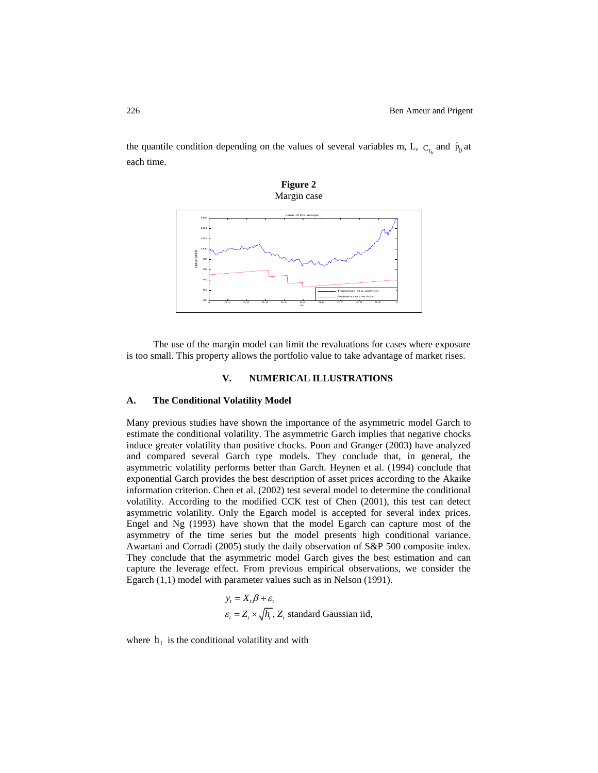the quantile condition depending on the values of several variables m, L,  $C_{t_k}$  and  $\hat{P}_0$  at each time.



The use of the margin model can limit the revaluations for cases where exposure is too small. This property allows the portfolio value to take advantage of market rises.

#### **V. NUMERICAL ILLUSTRATIONS**

#### **A. The Conditional Volatility Model**

Many previous studies have shown the importance of the asymmetric model Garch to estimate the conditional volatility. The asymmetric Garch implies that negative chocks induce greater volatility than positive chocks. Poon and Granger (2003) have analyzed and compared several Garch type models. They conclude that, in general, the asymmetric volatility performs better than Garch. Heynen et al. (1994) conclude that exponential Garch provides the best description of asset prices according to the Akaike information criterion. Chen et al. (2002) test several model to determine the conditional volatility. According to the modified CCK test of Chen (2001), this test can detect asymmetric volatility. Only the Egarch model is accepted for several index prices. Engel and Ng (1993) have shown that the model Egarch can capture most of the asymmetry of the time series but the model presents high conditional variance. Awartani and Corradi (2005) study the daily observation of S&P 500 composite index. They conclude that the asymmetric model Garch gives the best estimation and can capture the leverage effect. From previous empirical observations, we consider the Egarch (1,1) model with parameter values such as in Nelson (1991).<br>  $y_t = X_t \beta + \varepsilon_t$ 

$$
y_t = X_t \beta + \varepsilon_t
$$
  

$$
\varepsilon_t = Z_t \times \sqrt{h_t}, Z_t \text{ standard Gaussian iid},
$$

where  $h_t$  is the conditional volatility and with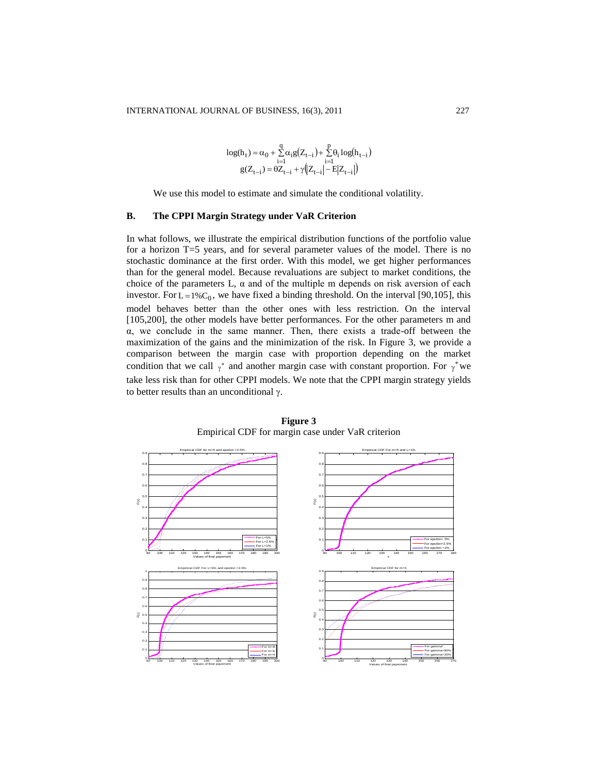$$
log(h_t) = \alpha_0 + \sum_{i=1}^{q} \alpha_i g(Z_{t-i}) + \sum_{i=1}^{p} \theta_i log(h_{t-i})
$$
  
 
$$
g(Z_{t-i}) = \theta Z_{t-i} + \gamma (Z_{t-i} | - E|Z_{t-i}|)
$$

We use this model to estimate and simulate the conditional volatility.

## **B. The CPPI Margin Strategy under VaR Criterion**

In what follows, we illustrate the empirical distribution functions of the portfolio value for a horizon T=5 years, and for several parameter values of the model. There is no stochastic dominance at the first order. With this model, we get higher performances than for the general model. Because revaluations are subject to market conditions, the choice of the parameters  $L$ ,  $\alpha$  and of the multiple m depends on risk aversion of each investor. For  $L = 1\%C_0$ , we have fixed a binding threshold. On the interval [90,105], this model behaves better than the other ones with less restriction. On the interval [105,200], the other models have better performances. For the other parameters m and  $\alpha$ , we conclude in the same manner. Then, there exists a trade-off between the maximization of the gains and the minimization of the risk. In Figure 3, we provide a comparison between the margin case with proportion depending on the market condition that we call  $\gamma^*$  and another margin case with constant proportion. For  $\gamma^*$  we take less risk than for other CPPI models. We note that the CPPI margin strategy yields to better results than an unconditional  $\gamma$ .



**Figure 3** Empirical CDF for margin case under VaR criterion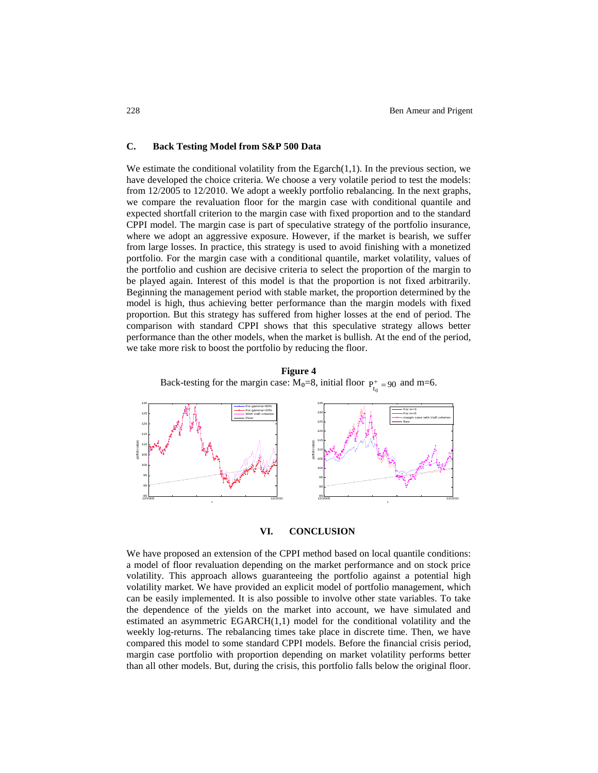#### **C. Back Testing Model from S&P 500 Data**

We estimate the conditional volatility from the Egarch $(1,1)$ . In the previous section, we have developed the choice criteria. We choose a very volatile period to test the models: from 12/2005 to 12/2010. We adopt a weekly portfolio rebalancing. In the next graphs, we compare the revaluation floor for the margin case with conditional quantile and expected shortfall criterion to the margin case with fixed proportion and to the standard CPPI model. The margin case is part of speculative strategy of the portfolio insurance, where we adopt an aggressive exposure. However, if the market is bearish, we suffer from large losses. In practice, this strategy is used to avoid finishing with a monetized portfolio. For the margin case with a conditional quantile, market volatility, values of the portfolio and cushion are decisive criteria to select the proportion of the margin to be played again. Interest of this model is that the proportion is not fixed arbitrarily. Beginning the management period with stable market, the proportion determined by the model is high, thus achieving better performance than the margin models with fixed proportion. But this strategy has suffered from higher losses at the end of period. The comparison with standard CPPI shows that this speculative strategy allows better performance than the other models, when the market is bullish. At the end of the period, we take more risk to boost the portfolio by reducing the floor.

Back-testing for the margin case:  $M_0=8$ , initial floor  $P_{t_0}^+=90$  and m=6. 12/2005 12/2010  $85 -$ 90 95  $100 -$ 105  $110 -$ 115 120 125  $130 \begin{picture}(100,10) \put(0,0){\line(1,0){10}} \put(15,0){\line(1,0){10}} \put(15,0){\line(1,0){10}} \put(15,0){\line(1,0){10}} \put(15,0){\line(1,0){10}} \put(15,0){\line(1,0){10}} \put(15,0){\line(1,0){10}} \put(15,0){\line(1,0){10}} \put(15,0){\line(1,0){10}} \put(15,0){\line(1,0){10}} \put(15,0){\line(1,0){10}} \put(15,0){\line($ For gamma=80% For gamma=20% With VaR criterion<br>Floor 12/2005 12/2010  $85 -$ 90 95 100  $105 - 10$  $110<sub>2</sub>$ 115 120 125 130 135 t portfolio values For m=3 For m=6 margin case with VaR criterion floor

**Figure 4**



We have proposed an extension of the CPPI method based on local quantile conditions: a model of floor revaluation depending on the market performance and on stock price volatility. This approach allows guaranteeing the portfolio against a potential high volatility market. We have provided an explicit model of portfolio management, which can be easily implemented. It is also possible to involve other state variables. To take the dependence of the yields on the market into account, we have simulated and estimated an asymmetric EGARCH(1,1) model for the conditional volatility and the weekly log-returns. The rebalancing times take place in discrete time. Then, we have compared this model to some standard CPPI models. Before the financial crisis period, margin case portfolio with proportion depending on market volatility performs better than all other models. But, during the crisis, this portfolio falls below the original floor.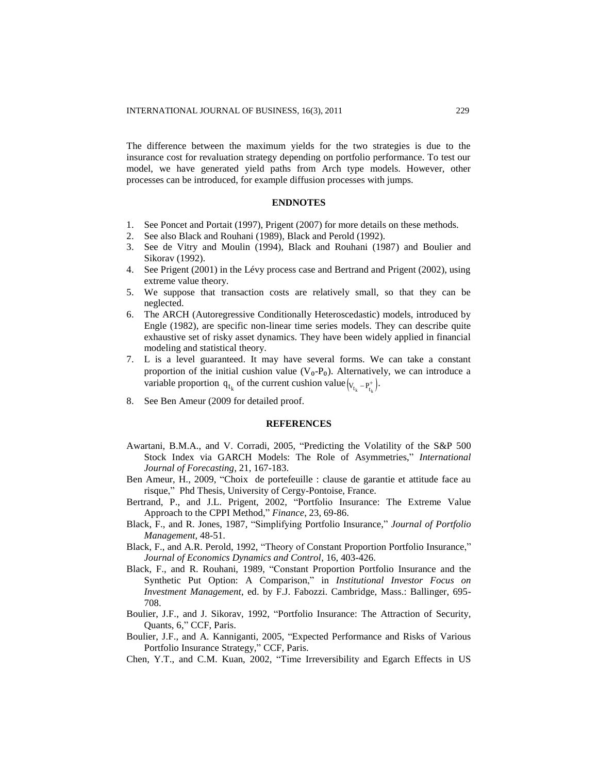The difference between the maximum yields for the two strategies is due to the insurance cost for revaluation strategy depending on portfolio performance. To test our model, we have generated yield paths from Arch type models. However, other processes can be introduced, for example diffusion processes with jumps.

## **ENDNOTES**

- 1. See Poncet and Portait (1997), Prigent (2007) for more details on these methods.
- 2. See also Black and Rouhani (1989), Black and Perold (1992).
- 3. See de Vitry and Moulin (1994), Black and Rouhani (1987) and Boulier and Sikorav (1992).
- 4. See Prigent (2001) in the Lévy process case and Bertrand and Prigent (2002), using extreme value theory.
- 5. We suppose that transaction costs are relatively small, so that they can be neglected.
- 6. The ARCH (Autoregressive Conditionally Heteroscedastic) models, introduced by Engle (1982), are specific non-linear time series models. They can describe quite exhaustive set of risky asset dynamics. They have been widely applied in financial modeling and statistical theory.
- 7. L is a level guaranteed. It may have several forms. We can take a constant proportion of the initial cushion value  $(V_0-P_0)$ . Alternatively, we can introduce a variable proportion  $q_{t_k}$  of the current cushion value  $(V_{t_k} - P_{t_k}^+)$ .
- 8. See Ben Ameur (2009 for detailed proof.

## **REFERENCES**

- Awartani, B.M.A., and V. Corradi, 2005, "Predicting the Volatility of the S&P 500 Stock Index via GARCH Models: The Role of Asymmetries," *International Journal of Forecasting,* 21, 167-183.
- Ben Ameur, H., 2009, "Choix de portefeuille : clause de garantie et attitude face au risque," Phd Thesis, University of Cergy-Pontoise, France.
- Bertrand, P., and J.L. Prigent, 2002, "Portfolio Insurance: The Extreme Value Approach to the CPPI Method," *Finance*, 23, 69-86.
- Black, F., and R. Jones, 1987, "Simplifying Portfolio Insurance," *Journal of Portfolio Management*, 48-51.
- Black, F., and A.R. Perold, 1992, "Theory of Constant Proportion Portfolio Insurance," *Journal of Economics Dynamics and Control*, 16, 403-426.
- Black, F., and R. Rouhani, 1989, "Constant Proportion Portfolio Insurance and the Synthetic Put Option: A Comparison," in *Institutional Investor Focus on Investment Management*, ed. by F.J. Fabozzi. Cambridge, Mass.: Ballinger, 695- 708.
- Boulier, J.F., and J. Sikorav, 1992, "Portfolio Insurance: The Attraction of Security, Quants, 6," CCF, Paris.
- Boulier, J.F., and A. Kanniganti, 2005, "Expected Performance and Risks of Various Portfolio Insurance Strategy," CCF, Paris.
- Chen, Y.T., and C.M. Kuan, 2002, "Time Irreversibility and Egarch Effects in US